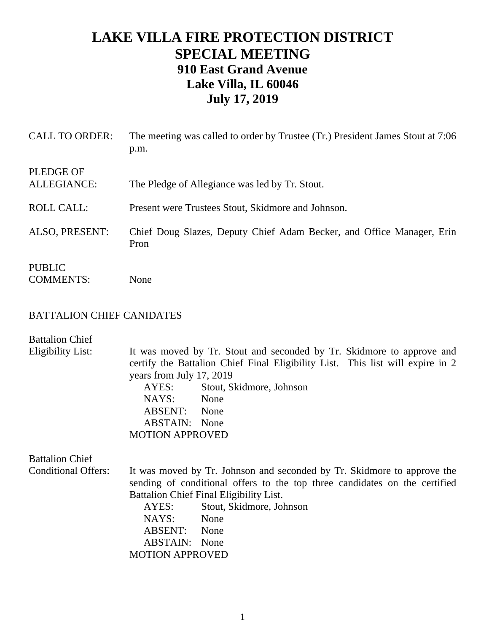## **LAKE VILLA FIRE PROTECTION DISTRICT SPECIAL MEETING 910 East Grand Avenue Lake Villa, IL 60046 July 17, 2019**

| <b>CALL TO ORDER:</b>             | The meeting was called to order by Trustee (Tr.) President James Stout at 7:06<br>p.m. |
|-----------------------------------|----------------------------------------------------------------------------------------|
| <b>PLEDGE OF</b><br>ALLEGIANCE:   | The Pledge of Allegiance was led by Tr. Stout.                                         |
| <b>ROLL CALL:</b>                 | Present were Trustees Stout, Skidmore and Johnson.                                     |
| ALSO, PRESENT:                    | Chief Doug Slazes, Deputy Chief Adam Becker, and Office Manager, Erin<br>Pron          |
| <b>PUBLIC</b><br><b>COMMENTS:</b> | None                                                                                   |

## BATTALION CHIEF CANIDATES

| <b>Battalion Chief</b>     |                                                                                                                                                                                                         |                          |  |
|----------------------------|---------------------------------------------------------------------------------------------------------------------------------------------------------------------------------------------------------|--------------------------|--|
| Eligibility List:          | It was moved by Tr. Stout and seconded by Tr. Skidmore to approve and<br>certify the Battalion Chief Final Eligibility List. This list will expire in 2<br>years from July 17, 2019                     |                          |  |
|                            | AYES:                                                                                                                                                                                                   | Stout, Skidmore, Johnson |  |
|                            | NAYS:                                                                                                                                                                                                   | None                     |  |
|                            | ABSENT: None                                                                                                                                                                                            |                          |  |
|                            | <b>ABSTAIN:</b> None                                                                                                                                                                                    |                          |  |
|                            | <b>MOTION APPROVED</b>                                                                                                                                                                                  |                          |  |
| <b>Battalion Chief</b>     |                                                                                                                                                                                                         |                          |  |
| <b>Conditional Offers:</b> | It was moved by Tr. Johnson and seconded by Tr. Skidmore to approve the<br>sending of conditional offers to the top three candidates on the certified<br><b>Battalion Chief Final Eligibility List.</b> |                          |  |
|                            | AYES:                                                                                                                                                                                                   | Stout, Skidmore, Johnson |  |
|                            | NAYS:                                                                                                                                                                                                   | None                     |  |
|                            | ABSENT: None                                                                                                                                                                                            |                          |  |
|                            | <b>ABSTAIN:</b> None                                                                                                                                                                                    |                          |  |
|                            | <b>MOTION APPROVED</b>                                                                                                                                                                                  |                          |  |